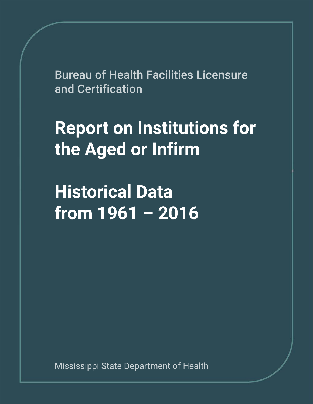**Bureau of Health Facilities Licensure** and Certification

## **Report on Institutions for** the Aged or Infirm

**Historical Data from1961–2016**

Mississippi State Department of Health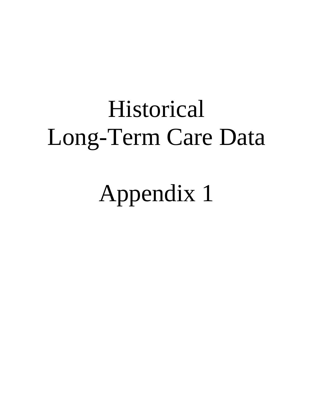# Historical Long-Term Care Data

Appendix 1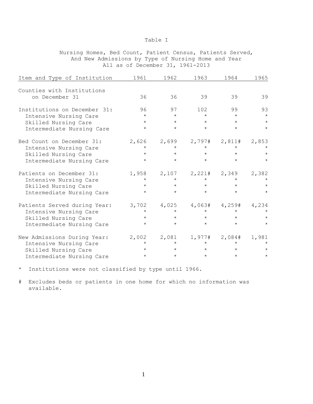Nursing Homes, Bed Count, Patient Census, Patients Served, And New Admissions by Type of Nursing Home and Year All as of December 31, 1961-2013

| Item and Type of Institution | 1961    | 1962    | 1963    | 1964           | 1965    |
|------------------------------|---------|---------|---------|----------------|---------|
|                              |         |         |         |                |         |
| Counties with Institutions   |         |         |         |                |         |
| on December 31               | 36      | 36      | 39      | 39             | 39      |
| Institutions on December 31: | 96      | 97      | 102     | 99             | 93      |
| Intensive Nursing Care       | $\star$ | $\star$ | $\star$ | $\star$        | $\star$ |
| Skilled Nursing Care         | $\star$ | $\star$ | $\star$ | $\star$        | $\star$ |
| Intermediate Nursing Care    | $\star$ | $\star$ | $\star$ | $\star$        | $\star$ |
| Bed Count on December 31:    | 2,626   | 2,699   | 2,797#  | 2,811#         | 2,853   |
| Intensive Nursing Care       | $\star$ | $\star$ | $\star$ | $\star$        |         |
| Skilled Nursing Care         | $\star$ | $\star$ | $\star$ | $\star$        | $\star$ |
| Intermediate Nursing Care    | $\star$ | $\star$ | $\star$ | $\star$        | $\star$ |
| Patients on December 31:     | 1,958   | 2,107   |         | $2,221#$ 2,349 | 2,382   |
| Intensive Nursing Care       | $\star$ | $\star$ | $\star$ | $\star$        | $\star$ |
| Skilled Nursing Care         | $\star$ | $\star$ | $\star$ | $\star$        | $\star$ |
| Intermediate Nursing Care    | $\star$ | $\star$ | $\star$ | $\star$        | $\star$ |
| Patients Served during Year: | 3,702   | 4,025   | 4,063#  | 4,259#         | 4,234   |
| Intensive Nursing Care       | $\star$ | $\star$ | $\star$ | $\star$        |         |
| Skilled Nursing Care         | $\star$ | $\star$ | $\star$ | $\star$        | $\star$ |
| Intermediate Nursing Care    | $\star$ | $\star$ | $\star$ | $\star$        | $\star$ |
| New Admissions During Year:  | 2,002   | 2,081   | 1,977#  | 2,084#         | 1,981   |
| Intensive Nursing Care       | $\star$ | $\star$ | $\star$ | $\star$        | $\star$ |
| Skilled Nursing Care         | $\star$ | $\star$ | $\star$ | $\star$        | $\star$ |
| Intermediate Nursing Care    | $\star$ | $\star$ | $\star$ | $\star$        | $\star$ |

\* Institutions were not classified by type until 1966.

# Excludes beds or patients in one home for which no information was available.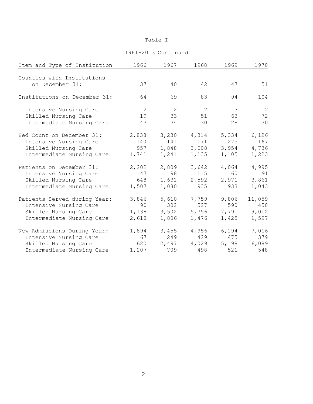| Item and Type of Institution                  | 1966  | 1967  | 1968  | 1969  | 1970           |
|-----------------------------------------------|-------|-------|-------|-------|----------------|
|                                               |       |       |       |       |                |
| Counties with Institutions<br>on December 31: | 37    | 40    | 42    | 47    | 51             |
|                                               |       |       |       |       |                |
| Institutions on December 31:                  | 64    | 69    | 83    | 94    | 104            |
| Intensive Nursing Care                        | 2     | 2     | 2     | 3     | $\overline{c}$ |
| Skilled Nursing Care                          | 19    | 33    | 51    | 63    | 72             |
| Intermediate Nursing Care                     | 43    | 34    | 30    | 28    | 30             |
| Bed Count on December 31:                     | 2,838 | 3,230 | 4,314 | 5,334 | 6,126          |
| Intensive Nursing Care                        | 140   | 141   | 171   | 275   | 167            |
| Skilled Nursing Care                          | 957   | 1,848 | 3,008 | 3,954 | 4,736          |
| Intermediate Nursing Care                     | 1,741 | 1,241 | 1,135 | 1,105 | 1,223          |
| Patients on December 31:                      | 2,202 | 2,809 | 3,642 | 4,064 | 4,995          |
| Intensive Nursing Care                        | 47    | 98    | 115   | 160   | 91             |
| Skilled Nursing Care                          | 648   | 1,631 | 2,592 | 2,971 | 3,861          |
| Intermediate Nursing Care                     | 1,507 | 1,080 | 935   | 933   | 1,043          |
| Patients Served during Year:                  | 3,846 | 5,610 | 7,759 | 9,806 | 11,059         |
| Intensive Nursing Care                        | 90    | 302   | 527   | 590   | 450            |
| Skilled Nursing Care                          | 1,138 | 3,502 | 5,756 | 7,791 | 9,012          |
| Intermediate Nursing Care                     | 2,618 | 1,806 | 1,476 | 1,425 | 1,597          |
| New Admissions During Year:                   | 1,894 | 3,455 | 4,956 | 6,194 | 7,016          |
| Intensive Nursing Care                        | 67    | 249   | 429   | 475   | 379            |
| Skilled Nursing Care                          | 620   | 2,497 | 4,029 | 5,198 | 6,089          |
| Intermediate Nursing Care                     | 1,207 | 709   | 498   | 521   | 548            |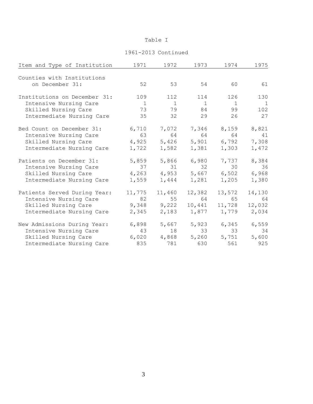| Item and Type of Institution | 1971         | 1972   | 1973         | 1974           | 1975   |
|------------------------------|--------------|--------|--------------|----------------|--------|
|                              |              |        |              |                |        |
| Counties with Institutions   |              |        |              |                |        |
| on December 31:              | 52           | 53     | 54           | 60             | 61     |
| Institutions on December 31: | 109          | 112    | 114          | 126            | 130    |
| Intensive Nursing Care       | $\mathbf{1}$ | 1      | $\mathbf{1}$ | $\overline{1}$ | 1      |
| Skilled Nursing Care         | 73           | 79     | 84           | 99             | 102    |
| Intermediate Nursing Care    | 35           | 32     | 29           | 26             | 27     |
| Bed Count on December 31:    | 6,710        | 7,072  | 7,346        | 8,159          | 8,821  |
| Intensive Nursing Care       | 63           | 64     | 64           | 64             | 41     |
| Skilled Nursing Care         | 4,925        | 5,426  | 5,901        | 6,792          | 7,308  |
| Intermediate Nursing Care    | 1,722        | 1,582  | 1,381        | 1,303          | 1,472  |
| Patients on December 31:     | 5,859        | 5,866  | 6,980        | 7,737          | 8,384  |
| Intensive Nursing Care       | 37           | 31     | 32           | 30             | 36     |
| Skilled Nursing Care         | 4,263        | 4,953  | 5,667        | 6,502          | 6,968  |
| Intermediate Nursing Care    | 1,559        | 1,444  | 1,281        | 1,205          | 1,380  |
| Patients Served During Year: | 11,775       | 11,460 | 12,382       | 13,572         | 14,130 |
| Intensive Nursing Care       | 82           | 55     | 64           | 65             | 64     |
| Skilled Nursing Care         | 9,348        | 9,222  | 10,441       | 11,728         | 12,032 |
| Intermediate Nursing Care    | 2,345        | 2,183  |              | 1,877 1,779    | 2,034  |
| New Admissions During Year:  | 6,898        | 5,667  | 5,923        | 6,345          | 6,559  |
| Intensive Nursing Care       | 43           | 18     | 33           | 33             | 34     |
| Skilled Nursing Care         | 6,020        | 4,868  | 5,260        | 5,751          | 5,600  |
| Intermediate Nursing Care    | 835          | 781    | 630          | 561            | 925    |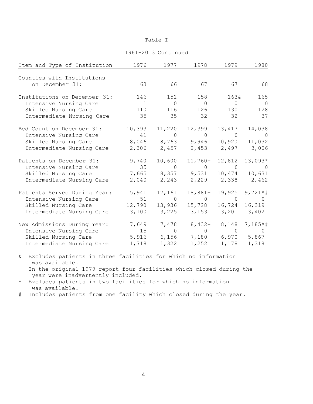#### 1961-2013 Continued

| Item and Type of Institution | 1976           | 1977           | 1978                                        | 1979                    | 1980           |
|------------------------------|----------------|----------------|---------------------------------------------|-------------------------|----------------|
| Counties with Institutions   |                |                |                                             |                         |                |
| on December 31:              | 63             |                | 66 67 67                                    |                         | 68             |
| Institutions on December 31: | 146            | 151            | 158                                         | 163&                    | 165            |
| Intensive Nursing Care       | $\overline{1}$ | $\overline{0}$ | $\overline{0}$                              | $\overline{0}$          | $\bigcirc$     |
| Skilled Nursing Care         | 110            | 116            | 126                                         | 130                     | 128            |
| Intermediate Nursing Care    | 35             | 35             | 32                                          | 32                      | 37             |
| Bed Count on December 31:    | 10,393         | 11,220         | 12,399                                      | 13,417                  | 14,038         |
| Intensive Nursing Care       |                | 41 0           | $\overline{0}$                              | $\overline{0}$          | $\overline{0}$ |
| Skilled Nursing Care         |                |                | 8,046 8,763 9,946 10,920                    |                         | 11,032         |
| Intermediate Nursing Care    |                |                | 2,306 2,457 2,453 2,497 3,006               |                         |                |
| Patients on December 31:     | 9,740          | 10,600         | $11,760+$                                   | 12,812                  | $13,093*$      |
| Intensive Nursing Care       |                |                | $35$ 0 0 0 0 0                              |                         |                |
| Skilled Nursing Care         |                |                | 7,665 8,357 9,531 10,474 10,631             |                         |                |
| Intermediate Nursing Care    | 2,040          | 2,243          |                                             | 2,229 2,338 2,462       |                |
| Patients Served During Year: | 15,941         | 17,161         | $18,881+$                                   | 19,925                  | $9,721**$      |
| Intensive Nursing Care       |                |                | 51 0 0 0 0                                  |                         |                |
| Skilled Nursing Care         | 12,790         | 13,936         |                                             | 15,728 16,724           | 16,319         |
| Intermediate Nursing Care    | 3,100          | 3,225          |                                             | $3,153$ $3,201$ $3,402$ |                |
| New Admissions During Year:  |                | 7,649 7,478    | $8,432+$                                    | 8,148                   | $7,185*$ #     |
| Intensive Nursing Care       | 15             |                | $\begin{matrix} 0 & 0 & 0 & 0 \end{matrix}$ |                         |                |
| Skilled Nursing Care         |                |                | 5,916 6,156 7,180 6,970 5,867               |                         |                |
| Intermediate Nursing Care    | 1,718          | 1,322          |                                             | $1,252$ $1,178$ $1,318$ |                |

& Excludes patients in three facilities for which no information was available.

+ In the original 1979 report four facilities which closed during the year were inadvertently included.

- \* Excludes patients in two facilities for which no information was available.
- # Includes patients from one facility which closed during the year.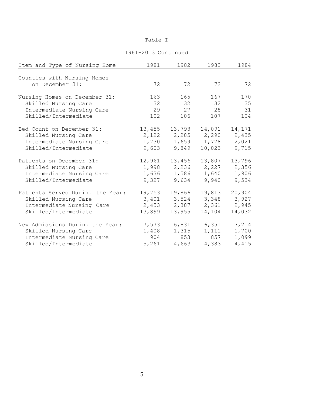| Item and Type of Nursing Home    | 1981   | 1982   | 1983   | 1984   |
|----------------------------------|--------|--------|--------|--------|
|                                  |        |        |        |        |
| Counties with Nursing Homes      |        |        |        |        |
| on December 31:                  | 72     | 72     | 72     | 72     |
| Nursing Homes on December 31:    | 163    | 165    | 167    | 170    |
| Skilled Nursing Care             | 32     | 32     | 32     | 35     |
| Intermediate Nursing Care        | 29     | 27     | 28     | 31     |
| Skilled/Intermediate             | 102    | 106    | 107    | 104    |
| Bed Count on December 31:        | 13,455 | 13,793 | 14,091 | 14,171 |
| Skilled Nursing Care             | 2,122  | 2,285  | 2,290  | 2,435  |
| Intermediate Nursing Care        | 1,730  | 1,659  | 1,778  | 2,021  |
| Skilled/Intermediate             | 9,603  | 9,849  | 10,023 | 9,715  |
| Patients on December 31:         | 12,961 | 13,456 | 13,807 | 13,796 |
| Skilled Nursing Care             | 1,998  | 2,236  | 2,227  | 2,356  |
| Intermediate Nursing Care        | 1,636  | 1,586  | 1,640  | 1,906  |
| Skilled/Intermediate             | 9,327  | 9,634  | 9,940  | 9,534  |
| Patients Served During the Year: | 19,753 | 19,866 | 19,813 | 20,904 |
| Skilled Nursing Care             | 3,401  | 3,524  | 3,348  | 3,927  |
| Intermediate Nursing Care        | 2,453  | 2,387  | 2,361  | 2,945  |
| Skilled/Intermediate             | 13,899 | 13,955 | 14,104 | 14,032 |
| New Admissions During the Year:  | 7,573  | 6,831  | 6,351  | 7,214  |
| Skilled Nursing Care             | 1,408  | 1,315  | 1,111  | 1,700  |
| Intermediate Nursing Care        | 904    | 853    | 857    | 1,099  |
| Skilled/Intermediate             | 5,261  | 4,663  | 4,383  | 4,415  |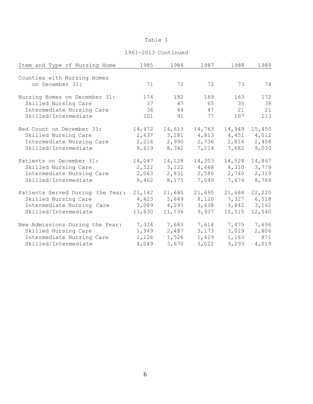| Item and Type of Nursing Home    | 1985   | 1986   | 1987   | 1988   | 1989   |
|----------------------------------|--------|--------|--------|--------|--------|
|                                  |        |        |        |        |        |
| Counties with Nursing Homes      |        |        |        |        |        |
| on December 31:                  | 71     | 72     | 72     | 73     | 74     |
| Nursing Homes on December 31:    | 174    | 182    | 189    | 163    | 172    |
| Skilled Nursing Care             | 37     | 47     | 65     | 35     | 38     |
| Intermediate Nursing Care        | 36     | 44     | 47     | 21     | 21     |
| Skilled/Intermediate             | 101    | 91     | 77     | 107    | 113    |
| Bed Count on December 31:        | 14,472 | 14,613 | 14,763 | 14,949 | 15,450 |
| Skilled Nursing Care             | 2,637  | 3,281  | 4,813  | 4,451  | 4,012  |
| Intermediate Nursing Care        | 2,216  | 2,990  | 2,736  | 2,816  | 2,408  |
| Skilled/Intermediate             | 9,619  | 8,342  | 7,214  | 7,682  | 9,030  |
| Patients on December 31:         | 14,047 | 14,128 | 14,303 | 14,524 | 14,867 |
| Skilled Nursing Care             | 2,522  | 3,122  | 4,668  | 4,310  | 3,779  |
| Intermediate Nursing Care        | 2,063  | 2,831  | 2,586  | 2,740  | 2,319  |
| Skilled/Intermediate             | 9,462  | 8,175  | 7,049  | 7,474  | 8,769  |
| Patients Served During the Year: | 21,142 | 21,680 | 21,695 | 21,684 | 22,220 |
| Skilled Nursing Care             | 4,423  | 5,649  | 8,120  | 7,327  | 6,518  |
| Intermediate Nursing Care        | 3,089  | 4,295  | 3,638  | 3,842  | 3,162  |
| Skilled/Intermediate             | 13,630 | 11,736 | 9,937  | 10,515 | 12,540 |
| New Admissions During the Year:  | 7,324  | 7,683  | 7,614  | 7,475  | 7,696  |
| Skilled Nursing Care             | 1,949  | 2,487  | 3,173  | 3,019  | 2,806  |
| Intermediate Nursing Care        | 1,126  | 1,526  | 1,419  | 1,163  | 871    |
| Skilled/Intermediate             | 4,249  | 3,670  | 3,022  | 3,293  | 4,019  |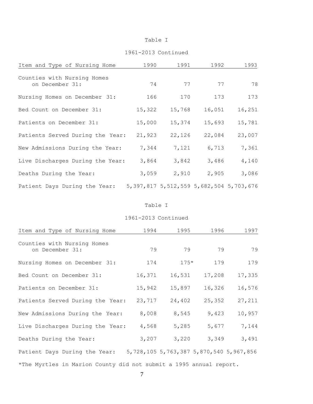#### 1961-2013 Continued

| Item and Type of Nursing Home                  | 1990   | 1991                                            | 1992   | 1993   |
|------------------------------------------------|--------|-------------------------------------------------|--------|--------|
| Counties with Nursing Homes<br>on December 31: | 74     | 77                                              | 77     | 78     |
| Nursing Homes on December 31:                  | 166    | 170                                             | 173    | 173    |
| Bed Count on December 31:                      | 15,322 | 15,768                                          | 16,051 | 16,251 |
| Patients on December 31:                       | 15,000 | 15,374                                          | 15,693 | 15,781 |
| Patients Served During the Year:               | 21,923 | 22,126                                          | 22,084 | 23,007 |
| New Admissions During the Year:                | 7,344  | 7,121                                           | 6,713  | 7,361  |
| Live Discharges During the Year:               | 3,864  | 3,842                                           | 3,486  | 4,140  |
| Deaths During the Year:                        | 3,059  | 2,910                                           | 2,905  | 3,086  |
| Patient Days During the Year:                  |        | 5, 397, 817 5, 512, 559 5, 682, 504 5, 703, 676 |        |        |

#### Table I

| Item and Type of Nursing Home                                         | 1994   | 1995   | 1996   | 1997   |  |  |
|-----------------------------------------------------------------------|--------|--------|--------|--------|--|--|
| Counties with Nursing Homes<br>on December 31:                        | 79     | 79     | 79     | 79     |  |  |
| Nursing Homes on December 31:                                         | 174    | $175*$ | 179    | 179    |  |  |
| Bed Count on December 31:                                             | 16,371 | 16,531 | 17,208 | 17,335 |  |  |
| Patients on December 31:                                              | 15,942 | 15,897 | 16,326 | 16,576 |  |  |
| Patients Served During the Year:                                      | 23,717 | 24,402 | 25,352 | 27,211 |  |  |
| New Admissions During the Year:                                       | 8,008  | 8,545  | 9,423  | 10,957 |  |  |
| Live Discharges During the Year:                                      | 4,568  | 5,285  | 5,677  | 7,144  |  |  |
| Deaths During the Year:                                               | 3,207  | 3,220  | 3,349  | 3,491  |  |  |
| Patient Days During the Year: 5,728,105 5,763,387 5,870,540 5,967,856 |        |        |        |        |  |  |
| *The Myrtles in Marion County did not submit a 1995 annual report.    |        |        |        |        |  |  |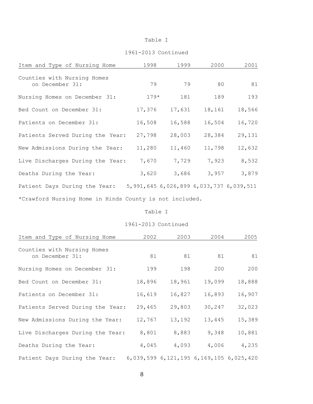#### 1961-2013 Continued

| Item and Type of Nursing Home                           | 1998   | 1999   | 2000   | 2001                                            |
|---------------------------------------------------------|--------|--------|--------|-------------------------------------------------|
| Counties with Nursing Homes<br>on December 31:          | 79     | 79     | 80     | 81                                              |
| Nursing Homes on December 31:                           | $179*$ | 181    | 189    | 193                                             |
| Bed Count on December 31:                               | 17,376 | 17,631 | 18,161 | 18,566                                          |
| Patients on December 31:                                | 16,508 | 16,588 | 16,504 | 16,720                                          |
| Patients Served During the Year:                        | 27,798 | 28,003 | 28,384 | 29,131                                          |
| New Admissions During the Year:                         | 11,280 | 11,460 | 11,798 | 12,632                                          |
| Live Discharges During the Year:                        | 7,670  | 7,729  | 7,923  | 8,532                                           |
| Deaths During the Year:                                 | 3,620  | 3,686  | 3,957  | 3,879                                           |
| Patient Days During the Year:                           |        |        |        | 5, 991, 645 6, 026, 899 6, 033, 737 6, 039, 511 |
| *Crawford Nursing Home in Hinds County is not included. |        |        |        |                                                 |

#### Table I

| Item and Type of Nursing Home                  | 2002   | 2003   | 2004                                    | 2005   |
|------------------------------------------------|--------|--------|-----------------------------------------|--------|
| Counties with Nursing Homes<br>on December 31: | 81     | 81     | 81                                      | 81     |
| Nursing Homes on December 31:                  | 199    | 198    | 200                                     | 200    |
| Bed Count on December 31:                      | 18,896 | 18,961 | 19,099                                  | 18,888 |
| Patients on December 31:                       | 16,619 | 16,827 | 16,893                                  | 16,907 |
| Patients Served During the Year:               | 29,465 | 29,803 | 30,247                                  | 32,023 |
| New Admissions During the Year:                | 12,767 | 13,192 | 13,445                                  | 15,389 |
| Live Discharges During the Year:               | 8,801  | 8,883  | 9,348                                   | 10,881 |
| Deaths During the Year:                        | 4,045  | 4,093  | 4,006                                   | 4,235  |
| Patient Days During the Year:                  |        |        | 6,039,599 6,121,195 6,169,105 6,025,420 |        |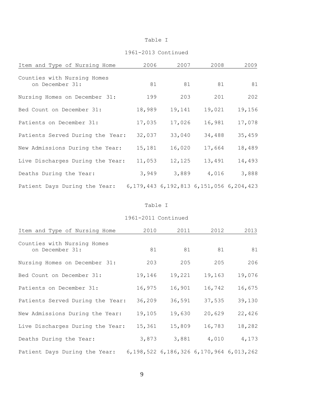#### 1961-2013 Continued

| Item and Type of Nursing Home                  | 2006   | 2007                                            | 2008   | 2009   |
|------------------------------------------------|--------|-------------------------------------------------|--------|--------|
| Counties with Nursing Homes<br>on December 31: | 81     | 81                                              | 81     | 81     |
| Nursing Homes on December 31:                  | 199    | 203                                             | 201    | 202    |
| Bed Count on December 31:                      | 18,989 | 19,141                                          | 19,021 | 19,156 |
| Patients on December 31:                       | 17,035 | 17,026                                          | 16,981 | 17,078 |
| Patients Served During the Year:               | 32,037 | 33,040                                          | 34,488 | 35,459 |
| New Admissions During the Year:                | 15,181 | 16,020                                          | 17,664 | 18,489 |
| Live Discharges During the Year:               | 11,053 | 12,125                                          | 13,491 | 14,493 |
| Deaths During the Year:                        | 3,949  | 3,889                                           | 4,016  | 3,888  |
| Patient Days During the Year:                  |        | 6, 179, 443 6, 192, 813 6, 151, 056 6, 204, 423 |        |        |

#### Table I

| Item and Type of Nursing Home                  | 2010   | 2011                                            | 2012   | 2013   |
|------------------------------------------------|--------|-------------------------------------------------|--------|--------|
| Counties with Nursing Homes<br>on December 31: | 81     | 81                                              | 81     | 81     |
| Nursing Homes on December 31:                  | 203    | 205                                             | 205    | 206    |
| Bed Count on December 31:                      | 19,146 | 19,221                                          | 19,163 | 19,076 |
| Patients on December 31:                       | 16,975 | 16,901                                          | 16,742 | 16,675 |
| Patients Served During the Year:               | 36,209 | 36,591                                          | 37,535 | 39,130 |
| New Admissions During the Year:                | 19,105 | 19,630                                          | 20,629 | 22,426 |
| Live Discharges During the Year:               | 15,361 | 15,809                                          | 16,783 | 18,282 |
| Deaths During the Year:                        | 3,873  | 3,881                                           | 4,010  | 4,173  |
| Patient Days During the Year:                  |        | 6, 198, 522 6, 186, 326 6, 170, 964 6, 013, 262 |        |        |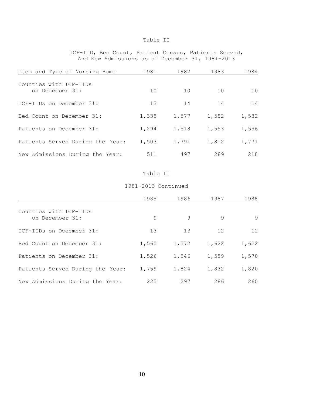ICF-IID, Bed Count, Patient Census, Patients Served, And New Admissions as of December 31, 1981-2013

| Item and Type of Nursing Home             | 1981  | 1982  | 1983  | 1984  |
|-------------------------------------------|-------|-------|-------|-------|
| Counties with ICF-IIDs<br>on December 31: | 10    | 10    | 10    | 10    |
| ICF-IIDs on December 31:                  | 13    | 14    | 14    | 14    |
| Bed Count on December 31:                 | 1,338 | 1,577 | 1,582 | 1,582 |
| Patients on December 31:                  | 1,294 | 1,518 | 1,553 | 1,556 |
| Patients Served During the Year:          | 1,503 | 1,791 | 1,812 | 1,771 |
| New Admissions During the Year:           | 511   | 497   | 289   | 218   |

#### Table II

|                                           | 1985  | 1986  | 1987  | 1988  |
|-------------------------------------------|-------|-------|-------|-------|
| Counties with ICF-IIDs<br>on December 31: | 9     | 9     | 9     | 9     |
| ICF-IIDs on December 31:                  | 13    | 13    | 12    | 12    |
| Bed Count on December 31:                 | 1,565 | 1,572 | 1,622 | 1,622 |
| Patients on December 31:                  | 1,526 | 1,546 | 1,559 | 1,570 |
| Patients Served During the Year:          | 1,759 | 1,824 | 1,832 | 1,820 |
| New Admissions During the Year:           | 225   | 297   | 286   | 260   |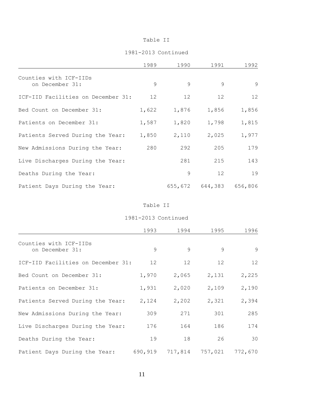#### 1981-2013 Continued

|                                           | 1989  | 1990              | 1991                    | 1992  |
|-------------------------------------------|-------|-------------------|-------------------------|-------|
| Counties with ICF-IIDs<br>on December 31: | 9     | $\mathsf{Q}$      | $\mathsf{Q}$            | 9     |
| ICF-IID Facilities on December 31:        | 12    | $12 \overline{ }$ | 12 <sup>°</sup>         | 12    |
| Bed Count on December 31:                 | 1,622 | 1,876             | 1,856                   | 1,856 |
| Patients on December 31:                  | 1,587 | 1,820             | 1,798                   | 1,815 |
| Patients Served During the Year:          | 1,850 | 2,110             | 2,025                   | 1,977 |
| New Admissions During the Year:           | 280   | 292               | 205                     | 179   |
| Live Discharges During the Year:          |       | 281               | 215                     | 143   |
| Deaths During the Year:                   |       | 9                 | 12                      | 19    |
| Patient Days During the Year:             |       |                   | 655,672 644,383 656,806 |       |

#### Table II

|                                           | 1993            | 1994            | 1995            | 1996    |
|-------------------------------------------|-----------------|-----------------|-----------------|---------|
| Counties with ICF-IIDs<br>on December 31: | 9               | 9               | 9               | 9       |
| ICF-IID Facilities on December 31:        | 12 <sup>°</sup> | 12 <sup>°</sup> | 12 <sup>°</sup> | 12      |
| Bed Count on December 31:                 | 1,970           | 2,065           | 2,131           | 2,225   |
| Patients on December 31:                  | 1,931           | 2,020           | 2,109           | 2,190   |
| Patients Served During the Year:          | 2,124           | 2,202           | 2,321           | 2,394   |
| New Admissions During the Year:           | 309             | 271             | 301             | 285     |
| Live Discharges During the Year:          | 176             | 164             | 186             | 174     |
| Deaths During the Year:                   | 19              | 18              | 26              | 30      |
| Patient Days During the Year:             | 690,919         |                 | 717,814 757,021 | 772,670 |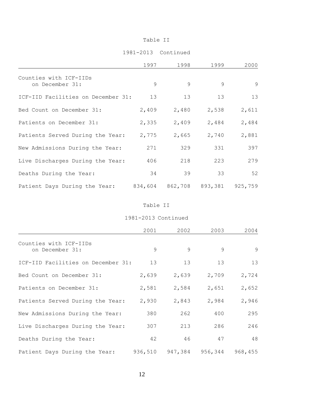#### 1981-2013 Continued

|                                           | 1997  | 1998                            | 1999          | 2000  |
|-------------------------------------------|-------|---------------------------------|---------------|-------|
| Counties with ICF-IIDs<br>on December 31: | 9     | $\mathsf{Q}$                    | $\mathcal{Q}$ | 9     |
| ICF-IID Facilities on December 31:        | 13    | 13                              | 13            | 13    |
| Bed Count on December 31:                 | 2,409 | 2,480                           | 2,538         | 2,611 |
| Patients on December 31:                  | 2,335 | 2,409                           | 2,484         | 2,484 |
| Patients Served During the Year:          | 2,775 | 2,665                           | 2,740         | 2,881 |
| New Admissions During the Year:           | 271   | 329                             | 331           | 397   |
| Live Discharges During the Year:          | 406   | 218                             | 223           | 279   |
| Deaths During the Year:                   | 34    | 39                              | 33            | 52    |
| Patient Days During the Year:             |       | 834,604 862,708 893,381 925,759 |               |       |

#### Table II

|                                           | 2001    | 2002         | 2003         | 2004            |
|-------------------------------------------|---------|--------------|--------------|-----------------|
| Counties with ICF-IIDs<br>on December 31: | 9       | $\mathsf{Q}$ | $\mathsf{Q}$ | 9               |
| ICF-IID Facilities on December 31:        | 13      | 13           | 13           | 13              |
| Bed Count on December 31:                 | 2,639   | 2,639        | 2,709        | 2,724           |
| Patients on December 31:                  | 2,581   | 2,584        | 2,651        | 2,652           |
| Patients Served During the Year:          | 2,930   | 2,843        | 2,984        | 2,946           |
| New Admissions During the Year:           | 380     | 262          | 400          | 295             |
| Live Discharges During the Year:          | 307     | 213          | 286          | 246             |
| Deaths During the Year:                   | 42      | 46           | 47           | 48              |
| Patient Days During the Year:             | 936,510 | 947,384      |              | 956,344 968,455 |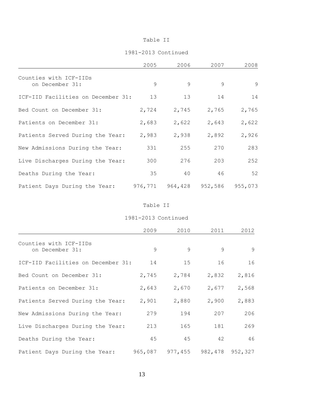#### 1981-2013 Continued

|                                           | 2005  | 2006            | 2007         | 2008    |
|-------------------------------------------|-------|-----------------|--------------|---------|
| Counties with ICF-IIDs<br>on December 31: | 9     | $\mathsf{Q}$    | $\mathsf{Q}$ | 9       |
| ICF-IID Facilities on December 31:        | 13    | 13              | 14           | 14      |
| Bed Count on December 31:                 | 2,724 | 2,745           | 2,765        | 2,765   |
| Patients on December 31:                  | 2,683 | 2,622           | 2,643        | 2,622   |
| Patients Served During the Year:          | 2,983 | 2,938           | 2,892        | 2,926   |
| New Admissions During the Year:           | 331   | 255             | 270          | 283     |
| Live Discharges During the Year:          | 300   | 276             | 203          | 252     |
| Deaths During the Year:                   | 35    | 40              | 46           | 52      |
| Patient Days During the Year:             |       | 976,771 964,428 | 952,586      | 955,073 |

#### Table II

|                                           | 2009    | 2010            | 2011         | 2012              |
|-------------------------------------------|---------|-----------------|--------------|-------------------|
| Counties with ICF-IIDs<br>on December 31: | $\circ$ | $\circ$         | $\mathsf{Q}$ | $\overline{9}$    |
| ICF-IID Facilities on December 31:        | 14      | 15              | 16           | 16                |
| Bed Count on December 31:                 | 2,745   | 2,784           | 2,832        | 2,816             |
| Patients on December 31:                  | 2,643   | 2,670           | 2,677        | 2,568             |
| Patients Served During the Year:          | 2,901   | 2,880           | 2,900        | 2,883             |
| New Admissions During the Year:           | 279     | 194             | 207          | 206               |
| Live Discharges During the Year:          | 213     | 165             | 181          | 269               |
| Deaths During the Year:                   | 45      | 45              | 42           | 46                |
| Patient Days During the Year:             |         | 965,087 977,455 |              | 982, 478 952, 327 |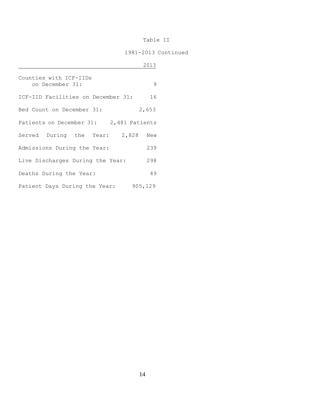|                                           | 2013    |
|-------------------------------------------|---------|
| Counties with ICF-IIDs<br>on December 31: | 9       |
| ICF-IID Facilities on December 31:        | 16      |
| Bed Count on December 31:                 | 2,653   |
| Patients on December 31: 2,481 Patients   |         |
| Served During the Year: 2,828 New         |         |
| Admissions During the Year:               | 239     |
| Live Discharges During the Year:          | 298     |
| Deaths During the Year:                   | 49      |
| Patient Days During the Year:             | 905,129 |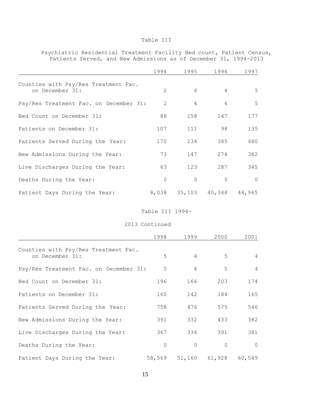Psychiatric Residential Treatment Facility Bed count, Patient Census, Patients Served, and New Admissions as of December 31, 1994-2013

|                                                         | 1994     | 1995           | 1996          | 1997     |
|---------------------------------------------------------|----------|----------------|---------------|----------|
| Counties with Psy/Res Treatment Fac.<br>on December 31: | 2        | 4              | 4             | 5        |
| Psy/Res Treatment Fac. on December 31:                  | 2        | $\overline{4}$ | 4             | 5        |
| Bed Count on December 31:                               | 88       | 158            | 147           | 177      |
| Patients on December 31:                                | 107      | 111            | 98            | 135      |
| Patients Served During the Year:                        | 170      | 234            | 385           | 480      |
| New Admissions During the Year:                         | 73       | 147            | 274           | 382      |
| Live Discharges During the Year:                        | 63       | 123            | 287           | 345      |
| Deaths During the Year:                                 | $\Omega$ | $\Omega$       | $\Omega$      | $\Omega$ |
| Patient Days During the Year:                           | 8,038    |                | 35,103 40,344 | 44,965   |

#### Table III 1994-

#### 2013 Continued

|                                                         | 1998     | 1999                 | 2000     | 2001           |
|---------------------------------------------------------|----------|----------------------|----------|----------------|
| Counties with Psy/Res Treatment Fac.<br>on December 31: | 5        | $\overline{4}$       | 5        | $\overline{4}$ |
| Psy/Res Treatment Fac. on December 31:                  | 5        | 4                    | 5        | $\overline{4}$ |
| Bed Count on December 31:                               | 196      | 166                  | 203      | 174            |
| Patients on December 31:                                | 160      | 142                  | 184      | 165            |
| Patients Served During the Year:                        | 758      | 476                  | 575      | 546            |
| New Admissions During the Year:                         | 391      | 332                  | 433      | 382            |
| Live Discharges During the Year:                        | 367      | 334                  | 391      | 381            |
| Deaths During the Year:                                 | $\Omega$ | $\Omega$             | $\Omega$ | $\overline{0}$ |
| Patient Days During the Year:                           |          | 58,569 51,160 61,928 |          | 60,549         |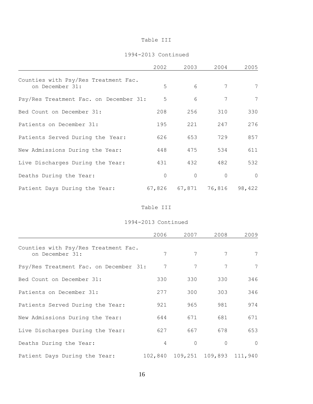#### 1994-2013 Continued

|                                                         | 2002     | 2003                 | 2004           | 2005            |
|---------------------------------------------------------|----------|----------------------|----------------|-----------------|
| Counties with Psy/Res Treatment Fac.<br>on December 31: | 5        | 6                    | 7              | 7               |
| Psy/Res Treatment Fac. on December 31:                  | 5        | 6                    | 7              | $7\phantom{.0}$ |
| Bed Count on December 31:                               | 208      | 256                  | 310            | 330             |
| Patients on December 31:                                | 195      | 221                  | 247            | 276             |
| Patients Served During the Year:                        | 626      | 653                  | 729            | 857             |
| New Admissions During the Year:                         | 448      | 475                  | 534            | 611             |
| Live Discharges During the Year:                        | 431      | 432                  | 482            | 532             |
| Deaths During the Year:                                 | $\Omega$ | $\bigcap$            | $\overline{0}$ | $\bigcap$       |
| Patient Days During the Year:                           |          | 67,826 67,871 76,816 |                | 98,422          |

#### Table III

|                                                         | 2006           | 2007     | 2008                            | 2009      |
|---------------------------------------------------------|----------------|----------|---------------------------------|-----------|
| Counties with Psy/Res Treatment Fac.<br>on December 31: | 7              | 7        | 7                               | 7         |
| Psy/Res Treatment Fac. on December 31:                  | 7              | 7        | 7                               | 7         |
| Bed Count on December 31:                               | 330            | 330      | 330                             | 346       |
| Patients on December 31:                                | 277            | 300      | 303                             | 346       |
| Patients Served During the Year:                        | 921            | 965      | 981                             | 974       |
| New Admissions During the Year:                         | 644            | 671      | 681                             | 671       |
| Live Discharges During the Year:                        | 627            | 667      | 678                             | 653       |
| Deaths During the Year:                                 | $\overline{4}$ | $\Omega$ | $\mathbf 0$                     | $\bigcap$ |
| Patient Days During the Year:                           |                |          | 102,840 109,251 109,893 111,940 |           |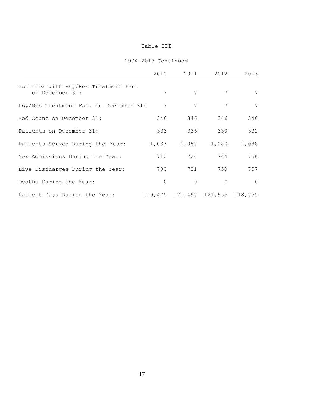|                                                         | 2010     | 2011                                | 2012     | 2013     |
|---------------------------------------------------------|----------|-------------------------------------|----------|----------|
| Counties with Psy/Res Treatment Fac.<br>on December 31: | 7        | 7                                   | 7        | 7        |
| Psy/Res Treatment Fac. on December 31:                  | 7        | $7\phantom{.0}$                     | 7        | 7        |
| Bed Count on December 31:                               | 346      | 346                                 | 346      | 346      |
| Patients on December 31:                                | 333      | 336                                 | 330      | 331      |
| Patients Served During the Year:                        | 1,033    | 1,057                               | 1,080    | 1,088    |
| New Admissions During the Year:                         | 712      | 724                                 | 744      | 758      |
| Live Discharges During the Year:                        | 700      | 721                                 | 750      | 757      |
| Deaths During the Year:                                 | $\Omega$ | $\Omega$                            | $\Omega$ | $\Omega$ |
| Patient Days During the Year:                           |          | 119, 475 121, 497 121, 955 118, 759 |          |          |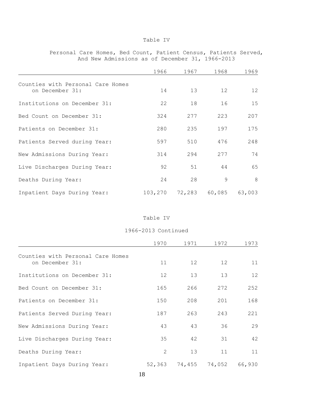#### Personal Care Homes, Bed Count, Patient Census, Patients Served, And New Admissions as of December 31, 1966-2013

|                                                      | 1966    | 1967   | 1968   | 1969   |
|------------------------------------------------------|---------|--------|--------|--------|
| Counties with Personal Care Homes<br>on December 31: | 14      | 13     | 12     | 12     |
| Institutions on December 31:                         | 22      | 18     | 16     | 15     |
| Bed Count on December 31:                            | 324     | 277    | 223    | 207    |
| Patients on December 31:                             | 280     | 235    | 197    | 175    |
| Patients Served during Year:                         | 597     | 510    | 476    | 248    |
| New Admissions During Year:                          | 314     | 294    | 277    | 74     |
| Live Discharges During Year:                         | 92      | 51     | 44     | 65     |
| Deaths During Year:                                  | 24      | 28     | 9      | 8      |
| Inpatient Days During Year:                          | 103,270 | 72,283 | 60,085 | 63,003 |

#### Table IV

|                                                      | 1970          | 1971   | 1972   | 1973   |
|------------------------------------------------------|---------------|--------|--------|--------|
| Counties with Personal Care Homes<br>on December 31: | 11            | 12     | 12     | 11     |
| Institutions on December 31:                         | 12            | 13     | 13     | 12     |
| Bed Count on December 31:                            | 165           | 266    | 272    | 252    |
| Patients on December 31:                             | 150           | 208    | 201    | 168    |
| Patients Served During Year:                         | 187           | 263    | 243    | 221    |
| New Admissions During Year:                          | 43            | 43     | 36     | 29     |
| Live Discharges During Year:                         | 35            | 42     | 31     | 42     |
| Deaths During Year:                                  | $\mathcal{L}$ | 13     | 11     | 11     |
| Inpatient Days During Year:                          | 52,363        | 74,455 | 74,052 | 66,930 |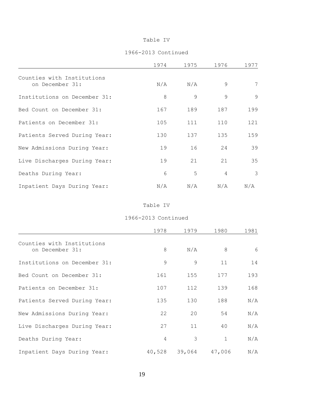#### 1966-2013 Continued

|                                               | 1974 | 1975           | 1976           | 1977 |
|-----------------------------------------------|------|----------------|----------------|------|
| Counties with Institutions<br>on December 31: | N/A  | N/A            | 9              | 7    |
| Institutions on December 31:                  | 8    | $\mathsf{Q}$   | 9              | 9    |
| Bed Count on December 31:                     | 167  | 189            | 187            | 199  |
| Patients on December 31:                      | 105  | 111            | 110            | 121  |
| Patients Served During Year:                  | 130  | 137            | 135            | 159  |
| New Admissions During Year:                   | 19   | 16             | 24             | 39   |
| Live Discharges During Year:                  | 19   | 21             | 21             | 35   |
| Deaths During Year:                           | 6    | $\overline{5}$ | $\overline{4}$ | 3    |
| Inpatient Days During Year:                   | N/A  | N/A            | N/A            | N/A  |

Table IV

|                                               | 1978           | 1979          | 1980   | 1981 |
|-----------------------------------------------|----------------|---------------|--------|------|
| Counties with Institutions<br>on December 31: | 8              | N/A           | 8      | 6    |
| Institutions on December 31:                  | 9              | $\mathcal{Q}$ | 11     | 14   |
| Bed Count on December 31:                     | 161            | 155           | 177    | 193  |
| Patients on December 31:                      | 107            | 112           | 139    | 168  |
| Patients Served During Year:                  | 135            | 130           | 188    | N/A  |
| New Admissions During Year:                   | 22             | 20            | 54     | N/A  |
| Live Discharges During Year:                  | 27             | 11            | 40     | N/A  |
| Deaths During Year:                           | $\overline{4}$ | 3             | 1      | N/A  |
| Inpatient Days During Year:                   | 40,528         | 39,064        | 47,006 | N/A  |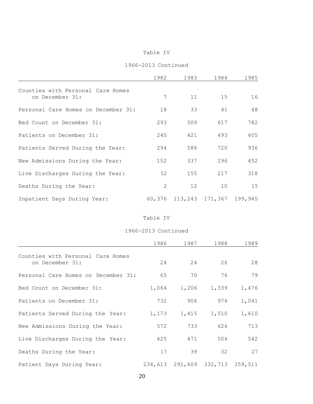|  |  |  | 1966-2013 Continued |
|--|--|--|---------------------|
|  |  |  |                     |

|                                                      | 1982          | 1983                   | 1984 | 1985    |
|------------------------------------------------------|---------------|------------------------|------|---------|
| Counties with Personal Care Homes<br>on December 31: | 7             | 11                     | 15   | 16      |
| Personal Care Homes on December 31:                  | 18            | 33                     | 41   | 48      |
| Bed Count on December 31:                            | 293           | 509                    | 617  | 782     |
| Patients on December 31:                             | 240           | 421                    | 493  | 605     |
| Patients Served During the Year:                     | 294           | 586                    | 720  | 936     |
| New Admissions During the Year:                      | 152           | 337                    | 296  | 452     |
| Live Discharges During the Year:                     | 52            | 155                    | 217  | 318     |
| Deaths During the Year:                              | $\mathcal{L}$ | 12                     | 10   | 15      |
| Inpatient Days During Year:                          |               | 60,376 113,243 171,367 |      | 199,945 |

#### Table IV

|                                                      | 1986  | 1987                            | 1988  | 1989  |
|------------------------------------------------------|-------|---------------------------------|-------|-------|
| Counties with Personal Care Homes<br>on December 31: | 24    | 24                              | 26    | 28    |
| Personal Care Homes on December 31:                  | 65    | 70                              | 76    | 79    |
| Bed Count on December 31:                            | 1,064 | 1,206                           | 1,339 | 1,476 |
| Patients on December 31:                             | 732   | 906                             | 974   | 1,041 |
| Patients Served During the Year:                     | 1,173 | 1,415                           | 1,510 | 1,610 |
| New Admissions During the Year:                      | 572   | 733                             | 626   | 713   |
| Live Discharges During the Year:                     | 425   | 471                             | 504   | 542   |
| Deaths During the Year:                              | 17    | 39                              | 32    | 27    |
| Patient Days During Year:                            |       | 234,613 291,609 332,713 359,511 |       |       |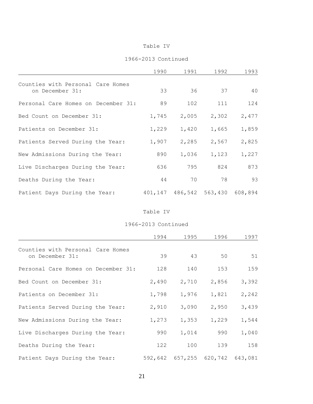#### 1966-2013 Continued

|                                                      | 1990  | 1991  | 1992                            | 1993  |
|------------------------------------------------------|-------|-------|---------------------------------|-------|
| Counties with Personal Care Homes<br>on December 31: | 33    | 36    | 37                              | 40    |
| Personal Care Homes on December 31:                  | 89    | 102   | 111                             | 124   |
| Bed Count on December 31:                            | 1,745 | 2,005 | 2,302                           | 2,477 |
| Patients on December 31:                             | 1,229 | 1,420 | 1,665                           | 1,859 |
| Patients Served During the Year:                     | 1,907 | 2,285 | 2,567                           | 2,825 |
| New Admissions During the Year:                      | 890   | 1,036 | 1,123                           | 1,227 |
| Live Discharges During the Year:                     | 636   | 795   | 824                             | 873   |
| Deaths During the Year:                              | 44    | 70    | 78                              | 93    |
| Patient Days During the Year:                        |       |       | 401,147 486,542 563,430 608,894 |       |

#### Table IV

|                                                      | 1994  | 1995                            | 1996  | 1997  |
|------------------------------------------------------|-------|---------------------------------|-------|-------|
| Counties with Personal Care Homes<br>on December 31: | 39    | 43                              | 50    | 51    |
| Personal Care Homes on December 31:                  | 128   | 140                             | 153   | 159   |
| Bed Count on December 31:                            | 2,490 | 2,710                           | 2,856 | 3,392 |
| Patients on December 31:                             | 1,798 | 1,976                           | 1,821 | 2,242 |
| Patients Served During the Year:                     | 2,910 | 3,090                           | 2,950 | 3,439 |
| New Admissions During the Year:                      | 1,273 | 1,353                           | 1,229 | 1,544 |
| Live Discharges During the Year:                     | 990   | 1,014                           | 990   | 1,040 |
| Deaths During the Year:                              | 122   | 100                             | 139   | 158   |
| Patient Days During the Year:                        |       | 592,642 657,255 620,742 643,081 |       |       |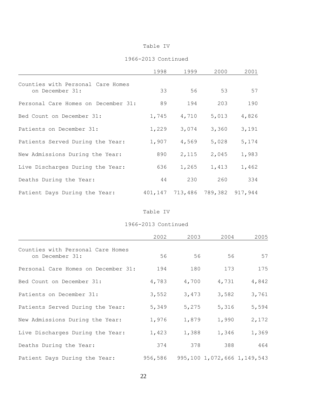#### 1966-2013 Continued

|                                                      | 1998  | 1999            | 2000  | 2001            |
|------------------------------------------------------|-------|-----------------|-------|-----------------|
| Counties with Personal Care Homes<br>on December 31: | 33    | 56              | 53    | 57              |
| Personal Care Homes on December 31:                  | 89    | 194             | 203   | 190             |
| Bed Count on December 31:                            | 1,745 | 4,710           | 5,013 | 4,826           |
| Patients on December 31:                             | 1,229 | 3,074           | 3,360 | 3,191           |
| Patients Served During the Year:                     | 1,907 | 4,569           | 5,028 | 5,174           |
| New Admissions During the Year:                      | 890   | 2,115           | 2,045 | 1,983           |
| Live Discharges During the Year:                     | 636   | 1,265           | 1,413 | 1,462           |
| Deaths During the Year:                              | 44    | 230             | 260   | 334             |
| Patient Days During the Year:                        |       | 401,147 713,486 |       | 789,382 917,944 |

#### Table IV

|                                                      | 2002    | 2003  | 2004                        | 2005  |
|------------------------------------------------------|---------|-------|-----------------------------|-------|
| Counties with Personal Care Homes<br>on December 31: | 56      | 56    | 56                          | 57    |
| Personal Care Homes on December 31:                  | 194     | 180   | 173                         | 175   |
| Bed Count on December 31:                            | 4,783   | 4,700 | 4,731                       | 4,842 |
| Patients on December 31:                             | 3,552   | 3,473 | 3,582                       | 3,761 |
| Patients Served During the Year:                     | 5,349   | 5,275 | 5,316                       | 5,594 |
| New Admissions During the Year:                      | 1,976   | 1,879 | 1,990                       | 2,172 |
| Live Discharges During the Year:                     | 1,423   | 1,388 | 1,346                       | 1,369 |
| Deaths During the Year:                              | 374     | 378   | 388                         | 464   |
| Patient Days During the Year:                        | 956,586 |       | 995,100 1,072,666 1,149,543 |       |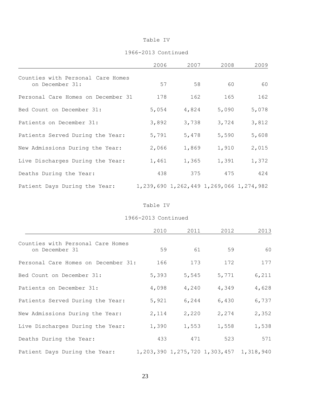#### 1966-2013 Continued

|                                                      | 2006  | 2007  | 2008                                            | 2009  |
|------------------------------------------------------|-------|-------|-------------------------------------------------|-------|
| Counties with Personal Care Homes<br>on December 31: | 57    | 58    | 60                                              | 60    |
| Personal Care Homes on December 31                   | 178   | 162   | 165                                             | 162   |
| Bed Count on December 31:                            | 5,054 | 4,824 | 5,090                                           | 5,078 |
| Patients on December 31:                             | 3,892 | 3,738 | 3,724                                           | 3,812 |
| Patients Served During the Year:                     | 5,791 | 5,478 | 5,590                                           | 5,608 |
| New Admissions During the Year:                      | 2,066 | 1,869 | 1,910                                           | 2,015 |
| Live Discharges During the Year:                     | 1,461 | 1,365 | 1,391                                           | 1,372 |
| Deaths During the Year:                              | 438   | 375   | 475                                             | 424   |
| Patient Days During the Year:                        |       |       | 1, 239, 690 1, 262, 449 1, 269, 066 1, 274, 982 |       |

#### Table IV

|                                                     | 2010  | 2011  | 2012  | 2013                                            |
|-----------------------------------------------------|-------|-------|-------|-------------------------------------------------|
| Counties with Personal Care Homes<br>on December 31 | 59    | 61    | 59    | 60                                              |
| Personal Care Homes on December 31:                 | 166   | 173   | 172   | 177                                             |
| Bed Count on December 31:                           | 5,393 | 5,545 | 5,771 | 6,211                                           |
| Patients on December 31:                            | 4,098 | 4,240 | 4,349 | 4,628                                           |
| Patients Served During the Year:                    | 5,921 | 6,244 | 6,430 | 6,737                                           |
| New Admissions During the Year:                     | 2,114 | 2,220 | 2,274 | 2,352                                           |
| Live Discharges During the Year:                    | 1,390 | 1,553 | 1,558 | 1,538                                           |
| Deaths During the Year:                             | 433   | 471   | 523   | 571                                             |
| Patient Days During the Year:                       |       |       |       | 1, 203, 390 1, 275, 720 1, 303, 457 1, 318, 940 |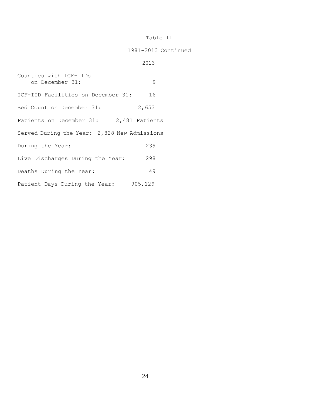|                                              | 2013    |
|----------------------------------------------|---------|
| Counties with ICF-IIDs<br>on December 31:    | 9       |
| ICF-IID Facilities on December 31:           | 16      |
| Bed Count on December 31:                    | 2,653   |
| Patients on December 31: 2,481 Patients      |         |
| Served During the Year: 2,828 New Admissions |         |
| During the Year:                             | 239     |
| Live Discharges During the Year:             | 298     |
| Deaths During the Year:                      | 49      |
| Patient Days During the Year:                | 905,129 |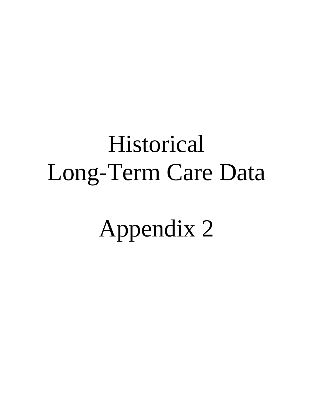## Historical Long-Term Care Data

Appendix 2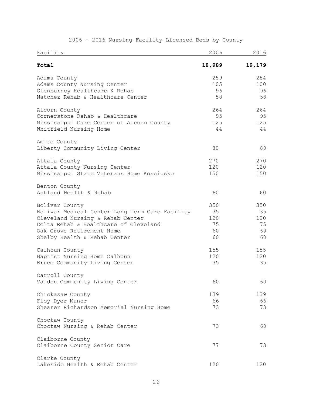| Facility                                                                                                                                                                                                   | 2006                               | 2016                               |
|------------------------------------------------------------------------------------------------------------------------------------------------------------------------------------------------------------|------------------------------------|------------------------------------|
| Total                                                                                                                                                                                                      | 18,989                             | 19,179                             |
| Adams County<br>Adams County Nursing Center<br>Glenburney Healthcare & Rehab<br>Natchez Rehab & Healthcare Center                                                                                          | 259<br>105<br>96<br>58             | 254<br>100<br>96<br>58             |
| Alcorn County<br>Cornerstone Rehab & Healthcare<br>Mississippi Care Center of Alcorn County<br>Whitfield Nursing Home                                                                                      | 264<br>95<br>125<br>44             | 264<br>95<br>125<br>44             |
| Amite County<br>Liberty Community Living Center                                                                                                                                                            | 80                                 | 80                                 |
| Attala County<br>Attala County Nursing Center<br>Mississippi State Veterans Home Kosciusko                                                                                                                 | 270<br>120<br>150                  | 270<br>120<br>150                  |
| Benton County<br>Ashland Health & Rehab                                                                                                                                                                    | 60                                 | 60                                 |
| Bolivar County<br>Bolivar Medical Center Long Term Care Facility<br>Cleveland Nursing & Rehab Center<br>Delta Rehab & Healthcare of Cleveland<br>Oak Grove Retirement Home<br>Shelby Health & Rehab Center | 350<br>35<br>120<br>75<br>60<br>60 | 350<br>35<br>120<br>75<br>60<br>60 |
| Calhoun County<br>Baptist Nursing Home Calhoun<br>Bruce Community Living Center                                                                                                                            | 155<br>120<br>35                   | 155<br>120<br>35                   |
| Carroll County<br>Vaiden Community Living Center                                                                                                                                                           | 60                                 | 60                                 |
| Chickasaw County<br>Floy Dyer Manor<br>Shearer Richardson Memorial Nursing Home                                                                                                                            | 139<br>66<br>73                    | 139<br>66<br>73                    |
| Choctaw County<br>Choctaw Nursing & Rehab Center                                                                                                                                                           | 73                                 | 60                                 |
| Claiborne County<br>Claiborne County Senior Care                                                                                                                                                           | 77                                 | 73                                 |
| Clarke County<br>Lakeside Health & Rehab Center                                                                                                                                                            | 120                                | 120                                |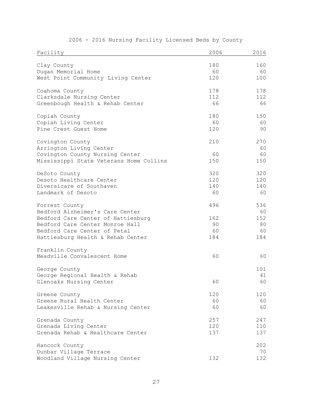| Facility                                | 2006 | 2016 |
|-----------------------------------------|------|------|
| Clay County                             | 180  | 160  |
| Dugan Memorial Home                     | 60   | 60   |
| West Point Community Living Center      | 120  | 100  |
| Coahoma County                          | 178  | 178  |
| Clarksdale Nursing Center               | 112  | 112  |
| Greenbough Health & Rehab Center        | 66   | 66   |
| Copiah County                           | 180  | 150  |
| Copiah Living Center                    | 60   | 60   |
| Pine Crest Guest Home                   | 120  | 90   |
| Covington County                        | 210  | 270  |
| Arrington Living Center                 |      | 60   |
| Covington County Nursing Center         | 60   | 60   |
| Mississippi State Veterans Home Collins | 150  | 150  |
| DeSoto County                           | 320  | 320  |
| Desoto Healthcare Center                | 120  | 120  |
| Diversicare of Southaven                | 140  | 140  |
| Landmark of Desoto                      | 60   | 60   |
| Forrest County                          | 496  | 536  |
| Bedford Alzheimer's Care Center         |      | 60   |
| Bedford Care Center of Hattiesburg      | 162  | 152  |
| Bedford Care Center Monroe Hall         | 90   | 80   |
| Bedford Care Center of Petal            | 60   | 60   |
| Hattiesburg Health & Rehab Center       | 184  | 184  |
| Franklin County                         |      |      |
| Meadville Convalescent Home             | 60   | 60   |
| George County                           |      | 101  |
| George Regional Health & Rehab          |      | 41   |
| Glenoaks Nursing Center                 | 60   | 60   |
| Greene County                           | 120  | 120  |
| Greene Rural Health Center              | 60   | 60   |
| Leakesville Rehab & Nursing Center      | 60   | 60   |
| Grenada County                          | 257  | 247  |
| Grenada Living Center                   | 120  | 110  |
| Grenada Rehab & Healthcare Center       | 137  | 137  |
| Hancock County                          |      | 202  |
| Dunbar Village Terrace                  |      | 70   |
| Woodland Village Nursing Center         | 132  | 132  |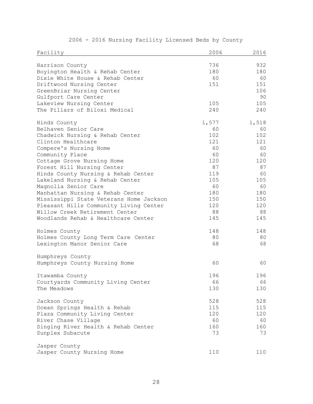| Facility                                | 2006  | 2016  |
|-----------------------------------------|-------|-------|
| Harrison County                         | 736   | 932   |
| Boyington Health & Rehab Center         | 180   | 180   |
| Dixie White House & Rehab Center        | 60    | 60    |
| Driftwood Nursing Center                | 151   | 151   |
| GreenBriar Nursing Center               |       | 106   |
| Gulfport Care Center                    |       | 90    |
| Lakeview Nursing Center                 | 105   | 105   |
| The Pillars of Biloxi Medical           | 240   | 240   |
| Hinds County                            | 1,577 | 1,518 |
| Belhaven Senior Care                    | 60    | 60    |
| Chadwick Nursing & Rehab Center         | 102   | 102   |
| Clinton Healthcare                      | 121   | 121   |
| Compere's Nursing Home                  | 60    | 60    |
| Community Place                         | 60    | 60    |
| Cottage Grove Nursing Home              | 120   | 120   |
| Forest Hill Nursing Center              | 87    | 87    |
| Hinds County Nursing & Rehab Center     | 119   | 60    |
| Lakeland Nursing & Rehab Center         | 105   | 105   |
| Magnolia Senior Care                    | 60    | 60    |
| Manhattan Nursing & Rehab Center        | 180   | 180   |
| Mississippi State Veterans Home Jackson | 150   | 150   |
| Pleasant Hills Community Living Center  | 120   | 120   |
| Willow Creek Retirement Center          | 88    | 88    |
| Woodlands Rehab & Healthcare Center     | 145   | 145   |
| Holmes County                           | 148   | 148   |
| Holmes County Long Term Care Center     | 80    | 80    |
| Lexington Manor Senior Care             | 68    | 68    |
| Humphreys County                        |       |       |
| Humphreys County Nursing Home           | 60    | 60    |
| Itawamba County                         | 196   | 196   |
| Courtyards Community Living Center      | 66    | 66    |
| The Meadows                             | 130   | 130   |
| Jackson County                          | 528   | 528   |
| Ocean Springs Health & Rehab            | 115   | 115   |
| Plaza Community Living Center           | 120   | 120   |
| River Chase Village                     | 60    | 60    |
| Singing River Health & Rehab Center     | 160   | 160   |
| Sunplex Subacute                        | 73    | 73    |
| Jasper County                           |       |       |
| Jasper County Nursing Home              | 110   | 110   |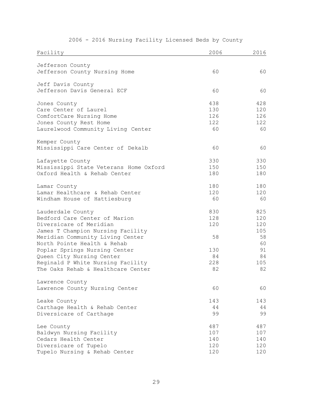| Facility                               | 2006 | 2016 |
|----------------------------------------|------|------|
| Jefferson County                       |      |      |
| Jefferson County Nursing Home          | 60   | 60   |
|                                        |      |      |
| Jeff Davis County                      |      |      |
| Jefferson Davis General ECF            | 60   | 60   |
| Jones County                           | 438  | 428  |
| Care Center of Laurel                  | 130  | 120  |
| ComfortCare Nursing Home               | 126  | 126  |
| Jones County Rest Home                 | 122  | 122  |
| Laurelwood Community Living Center     | 60   | 60   |
| Kemper County                          |      |      |
| Mississippi Care Center of Dekalb      | 60   | 60   |
|                                        |      |      |
| Lafayette County                       | 330  | 330  |
| Mississippi State Veterans Home Oxford | 150  | 150  |
| Oxford Health & Rehab Center           | 180  | 180  |
| Lamar County                           | 180  | 180  |
| Lamar Healthcare & Rehab Center        | 120  | 120  |
| Windham House of Hattiesburg           | 60   | 60   |
| Lauderdale County                      | 830  | 825  |
| Bedford Care Center of Marion          | 128  | 120  |
| Diversicare of Meridian                | 120  | 120  |
| James T Champion Nursing Facility      |      | 105  |
| Meridian Community Living Center       | 58   | 58   |
| North Pointe Health & Rehab            |      | 60   |
| Poplar Springs Nursing Center          | 130  | 91   |
| Queen City Nursing Center              | 84   | 84   |
| Reginald P White Nursing Facility      | 228  | 105  |
| The Oaks Rehab & Healthcare Center     | 82   | 82   |
| Lawrence County                        |      |      |
| Lawrence County Nursing Center         | 60   | 60   |
| Leake County                           | 143  | 143  |
| Carthage Health & Rehab Center         | 44   | 44   |
| Diversicare of Carthage                | 99   | 99   |
| Lee County                             | 487  | 487  |
| Baldwyn Nursing Facility               | 107  | 107  |
| Cedars Health Center                   | 140  | 140  |
| Diversicare of Tupelo                  | 120  | 120  |
| Tupelo Nursing & Rehab Center          | 120  | 120  |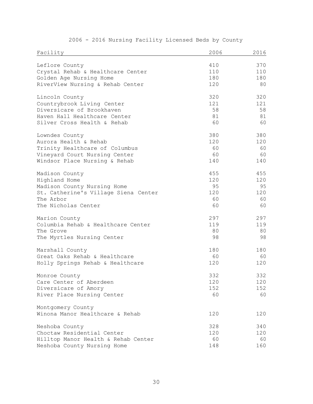| Facility                             | 2006 | 2016 |
|--------------------------------------|------|------|
| Leflore County                       | 410  | 370  |
| Crystal Rehab & Healthcare Center    | 110  | 110  |
| Golden Age Nursing Home              | 180  | 180  |
| RiverView Nursing & Rehab Center     | 120  | 80   |
| Lincoln County                       | 320  | 320  |
| Countrybrook Living Center           | 121  | 121  |
| Diversicare of Brookhaven            | 58   | 58   |
| Haven Hall Healthcare Center         | 81   | 81   |
| Silver Cross Health & Rehab          | 60   | 60   |
| Lowndes County                       | 380  | 380  |
| Aurora Health & Rehab                | 120  | 120  |
| Trinity Healthcare of Columbus       | 60   | 60   |
| Vineyard Court Nursing Center        | 60   | 60   |
| Windsor Place Nursing & Rehab        | 140  | 140  |
| Madison County                       | 455  | 455  |
| Highland Home                        | 120  | 120  |
| Madison County Nursing Home          | 95   | 95   |
| St. Catherine's Village Siena Center | 120  | 120  |
| The Arbor                            | 60   | 60   |
| The Nicholas Center                  | 60   | 60   |
| Marion County                        | 297  | 297  |
| Columbia Rehab & Healthcare Center   | 119  | 119  |
| The Grove                            | 80   | 80   |
| The Myrtles Nursing Center           | 98   | 98   |
| Marshall County                      | 180  | 180  |
| Great Oaks Rehab & Healthcare        | 60   | 60   |
| Holly Springs Rehab & Healthcare     | 120  | 120  |
| Monroe County                        | 332  | 332  |
| Care Center of Aberdeen              | 120  | 120  |
| Diversicare of Amory                 | 152  | 152  |
| River Place Nursing Center           | 60   | 60   |
| Montgomery County                    |      |      |
| Winona Manor Healthcare & Rehab      | 120  | 120  |
| Neshoba County                       | 328  | 340  |
| Choctaw Residential Center           | 120  | 120  |
| Hilltop Manor Health & Rehab Center  | 60   | 60   |
| Neshoba County Nursing Home          | 148  | 160  |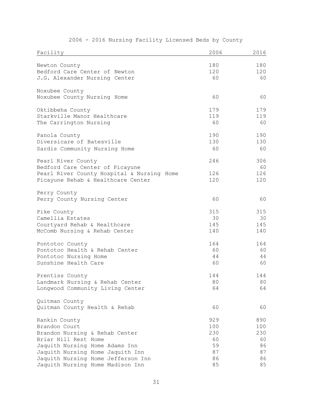| Facility                                   | 2006 | 2016 |
|--------------------------------------------|------|------|
| Newton County                              | 180  | 180  |
| Bedford Care Center of Newton              | 120  | 120  |
|                                            |      |      |
| J.G. Alexander Nursing Center              | 60   | 60   |
| Noxubee County                             |      |      |
| Noxubee County Nursing Home                | 60   | 60   |
| Oktibbeha County                           | 179  | 179  |
| Starkville Manor Healthcare                | 119  | 119  |
| The Carrington Nursing                     | 60   | 60   |
| Panola County                              | 190  | 190  |
| Diversicare of Batesville                  | 130  | 130  |
| Sardis Community Nursing Home              | 60   | 60   |
| Pearl River County                         | 246  | 306  |
| Bedford Care Center of Picayune            |      | 60   |
| Pearl River County Hospital & Nursing Home | 126  | 126  |
| Picayune Rehab & Healthcare Center         | 120  | 120  |
| Perry County                               |      |      |
| Perry County Nursing Center                | 60   | 60   |
| Pike County                                | 315  | 315  |
| Camellia Estates                           | 30   | 30   |
| Courtyard Rehab & Healthcare               | 145  | 145  |
| McComb Nursing & Rehab Center              | 140  | 140  |
| Pontotoc County                            | 164  | 164  |
| Pontotoc Health & Rehab Center             | 60   | 60   |
| Pontotoc Nursing Home                      | 44   | 44   |
| Sunshine Health Care                       | 60   | 60   |
| Prentiss County                            | 144  | 144  |
| Landmark Nursing & Rehab Center            | 80   | 80   |
| Longwood Community Living Center           | 64   | 64   |
| Quitman County                             |      |      |
| Quitman County Health & Rehab              | 60   | 60   |
| Rankin County                              | 929  | 890  |
| Brandon Court                              | 100  | 100  |
| Brandon Nursing & Rehab Center             | 230  | 230  |
| Briar Hill Rest Home                       | 60   | 60   |
| Jaquith Nursing Home Adams Inn             | 59   | 86   |
| Jaquith Nursing Home Jaquith Inn           | 87   | 87   |
| Jaquith Nursing Home Jefferson Inn         | 86   | 86   |
| Jaquith Nursing Home Madison Inn           | 85   | 85   |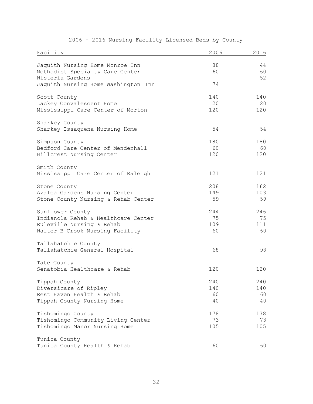| Facility                            | 2006 | 2016 |
|-------------------------------------|------|------|
| Jaquith Nursing Home Monroe Inn     | 88   | 44   |
| Methodist Specialty Care Center     | 60   | 60   |
| Wisteria Gardens                    |      | 52   |
| Jaquith Nursing Home Washington Inn | 74   |      |
| Scott County                        | 140  | 140  |
| Lackey Convalescent Home            | 20   | 20   |
| Mississippi Care Center of Morton   | 120  | 120  |
| Sharkey County                      |      |      |
| Sharkey Issaquena Nursing Home      | 54   | 54   |
| Simpson County                      | 180  | 180  |
| Bedford Care Center of Mendenhall   | 60   | 60   |
| Hillcrest Nursing Center            | 120  | 120  |
| Smith County                        |      |      |
| Mississippi Care Center of Raleigh  | 121  | 121  |
| Stone County                        | 208  | 162  |
| Azalea Gardens Nursing Center       | 149  | 103  |
| Stone County Nursing & Rehab Center | 59   | 59   |
| Sunflower County                    | 244  | 246  |
| Indianola Rehab & Healthcare Center | 75   | 75   |
| Ruleville Nursing & Rehab           | 109  | 111  |
| Walter B Crook Nursing Facility     | 60   | 60   |
| Tallahatchie County                 |      |      |
| Tallahatchie General Hospital       | 68   | 98   |
| Tate County                         |      |      |
| Senatobia Healthcare & Rehab        | 120  | 120  |
| Tippah County                       | 240  | 240  |
| Diversicare of Ripley               | 140  | 140  |
| Rest Haven Health & Rehab           | 60   | 60   |
| Tippah County Nursing Home          | 40   | 40   |
| Tishomingo County                   | 178  | 178  |
| Tishomingo Community Living Center  | 73   | 73   |
| Tishomingo Manor Nursing Home       | 105  | 105  |
| Tunica County                       |      |      |
| Tunica County Health & Rehab        | 60   | 60   |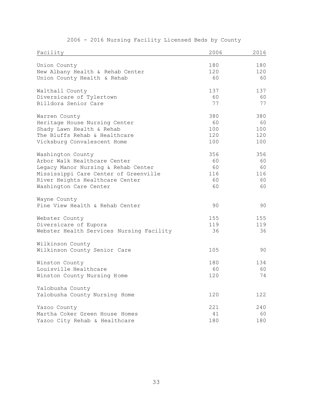| Facility                                 | 2006 | 2016 |  |
|------------------------------------------|------|------|--|
| Union County                             | 180  | 180  |  |
| New Albany Health & Rehab Center         | 120  | 120  |  |
| Union County Health & Rehab              | 60   | 60   |  |
| Walthall County                          | 137  | 137  |  |
| Diversicare of Tylertown                 | 60   | 60   |  |
| Billdora Senior Care                     | 77   | 77   |  |
| Warren County                            | 380  | 380  |  |
| Heritage House Nursing Center            | 60   | 60   |  |
| Shady Lawn Health & Rehab                | 100  | 100  |  |
| The Bluffs Rehab & Healthcare            | 120  | 120  |  |
| Vicksburg Convalescent Home              | 100  | 100  |  |
| Washington County                        | 356  | 356  |  |
| Arbor Walk Healthcare Center             | 60   | 60   |  |
| Legacy Manor Nursing & Rehab Center      | 60   | 60   |  |
| Mississippi Care Center of Greenville    | 116  | 116  |  |
| River Heights Healthcare Center          | 60   | 60   |  |
| Washington Care Center                   | 60   | 60   |  |
| Wayne County                             |      |      |  |
| Pine View Health & Rehab Center          | 90   | 90   |  |
| Webster County                           | 155  | 155  |  |
| Diversicare of Eupora                    | 119  | 119  |  |
| Webster Health Services Nursing Facility | 36   | 36   |  |
| Wilkinson County                         |      |      |  |
| Wilkinson County Senior Care             | 105  | 90   |  |
| Winston County                           | 180  | 134  |  |
| Louisville Healthcare                    | 60   | 60   |  |
| Winston County Nursing Home              | 120  | 74   |  |
| Yalobusha County                         |      |      |  |
| Yalobusha County Nursing Home            | 120  | 122  |  |
| Yazoo County                             | 221  | 240  |  |
| Martha Coker Green House Homes           | 41   | 60   |  |
| Yazoo City Rehab & Healthcare            | 180  | 180  |  |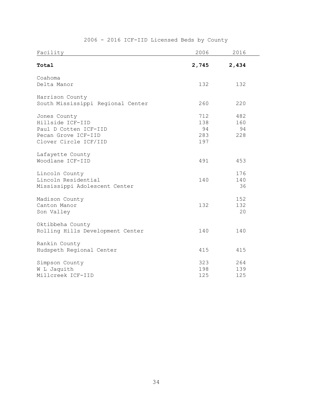| Facility                          | 2006  | 2016  |  |
|-----------------------------------|-------|-------|--|
| Total                             | 2,745 | 2,434 |  |
| Coahoma                           |       |       |  |
| Delta Manor                       | 132   | 132   |  |
| Harrison County                   |       |       |  |
| South Mississippi Regional Center | 260   | 220   |  |
| Jones County                      | 712   | 482   |  |
| Hillside ICF-IID                  | 138   | 160   |  |
| Paul D Cotten ICF-IID             | 94    | 94    |  |
| Pecan Grove ICF-IID               | 283   | 228   |  |
| Clover Circle ICF/IID             | 197   |       |  |
| Lafayette County                  |       |       |  |
| Woodlane ICF-IID                  | 491   | 453   |  |
| Lincoln County                    |       | 176   |  |
| Lincoln Residential               | 140   | 140   |  |
| Mississippi Adolescent Center     |       | 36    |  |
| Madison County                    |       | 152   |  |
| Canton Manor                      | 132   | 132   |  |
| Son Valley                        |       | 20    |  |
| Oktibbeha County                  |       |       |  |
| Rolling Hills Development Center  | 140   | 140   |  |
| Rankin County                     |       |       |  |
| Hudspeth Regional Center          | 415   | 415   |  |
| Simpson County                    | 323   | 264   |  |
| W L Jaquith                       | 198   | 139   |  |
| Millcreek ICF-IID                 | 125   | 125   |  |

## 2006 - 2016 ICF-IID Licensed Beds by County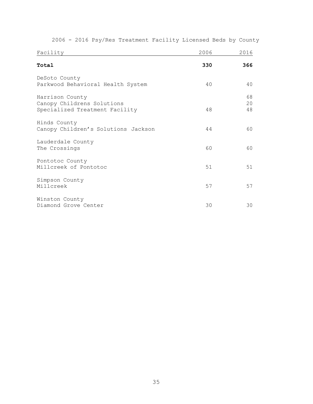| Facility                                                                        | 2006 | 2016           |
|---------------------------------------------------------------------------------|------|----------------|
| Total                                                                           | 330  | 366            |
| DeSoto County<br>Parkwood Behavioral Health System                              | 40   | 40             |
| Harrison County<br>Canopy Childrens Solutions<br>Specialized Treatment Facility | 48   | 68<br>20<br>48 |
| Hinds County<br>Canopy Children's Solutions Jackson                             | 44   | 60             |
| Lauderdale County<br>The Crossings                                              | 60   | 60             |
| Pontotoc County<br>Millcreek of Pontotoc                                        | 51   | 51             |
| Simpson County<br>Millcreek                                                     | 57   | 57             |
| Winston County<br>Diamond Grove Center                                          | 30   | 30             |

2006 - 2016 Psy/Res Treatment Facility Licensed Beds by County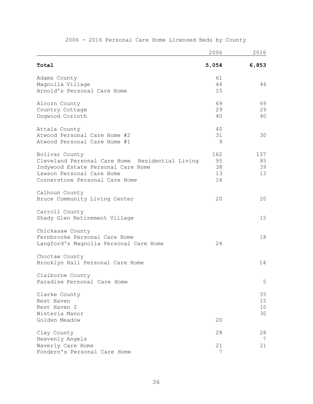|                                                 | 2006  | 2016  |
|-------------------------------------------------|-------|-------|
| Total                                           | 5,054 | 6,853 |
| Adams County                                    | 61    |       |
| Magnolia Village                                | 46    | 44    |
| Arnold's Personal Care Home                     | 15    |       |
| Alcorn County                                   | 69    | 69    |
| Country Cottage                                 | 29    | 29    |
| Dogwood Corinth                                 | 40    | 40    |
| Attala County                                   | 40    |       |
| Atwood Personal Care Home #2                    | 31    | 30    |
| Atwood Personal Care Home #1                    | 9     |       |
| Bolivar County                                  | 162   | 137   |
| Cleveland Personal Care Home Residential Living | 95    | 85    |
| Indywood Estate Personal Care Home              | 38    | 39    |
| Lawson Personal Care Home                       | 13    | 13    |
| Cornerstone Personal Care Home                  | 16    |       |
| Calhoun County                                  |       |       |
| Bruce Community Living Center                   | 20    | 20    |
| Carroll County                                  |       |       |
| Shady Glen Retirement Village                   |       | 15    |
| Chickasaw County                                |       |       |
| Fernbrooke Personal Care Home                   |       | 18    |
| Langford's Magnolia Personal Care Home          | 24    |       |
| Choctaw County                                  |       |       |
| Brooklyn Hall Personal Care Home                |       | 14    |
| Claiborne County                                |       |       |
| Paradise Personal Care Home                     |       | 5     |
| Clarke County                                   |       | 55    |
| Rest Haven                                      |       | 15    |
| Rest Haven 2                                    |       | 10    |
| Wisteria Manor                                  |       | 30    |
| Golden Meadow                                   | 20    |       |
| Clay County                                     | 28    | 28    |
| Heavenly Angels                                 |       | 7     |
| Waverly Care Home                               | 21    | 21    |
| Fondern's Personal Care Home                    | 7     |       |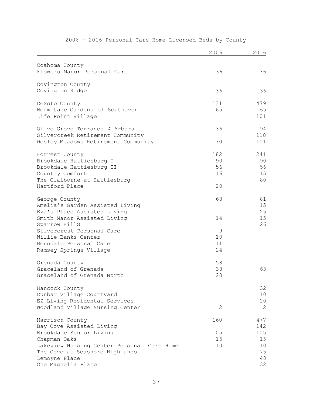|                                                 | 2006 | 2016            |
|-------------------------------------------------|------|-----------------|
| Coahoma County                                  |      |                 |
| Flowers Manor Personal Care                     | 36   | 36              |
| Covington County                                |      |                 |
| Covington Ridge                                 | 36   | 36              |
| DeSoto County                                   | 131  | 479             |
| Hermitage Gardens of Southaven                  | 65   | 65              |
| Life Point Village                              |      | 101             |
| Olive Grove Terrance & Arbors                   | 36   | 94              |
| Silvercreek Retirement Community                |      | 118             |
| Wesley Meadows Retirement Community             | 30   | 101             |
| Forrest County                                  | 182  | 241             |
| Brookdale Hattiesburg I                         | 90   | 90              |
| Brookdale Hattiesburg II                        | 56   | 56              |
| Country Comfort                                 | 16   | 15              |
| The Claiborne at Hattiesburg<br>Hartford Place  | 20   | 80              |
|                                                 |      |                 |
| George County                                   | 68   | 81              |
| Amelia's Garden Assisted Living                 |      | 15              |
| Eva's Place Assisted Living                     |      | 25              |
| Smith Manor Assisted Living                     | 14   | 15<br>26        |
| Sparrow HillS<br>Silvercrest Personal Care      | 9    |                 |
| Willie Banks Center                             | 10   |                 |
| Benndale Personal Care                          | 11   |                 |
| Ramsey Springs Village                          | 24   |                 |
| Grenada County                                  | 58   |                 |
| Graceland of Grenada                            | 38   | 63              |
| Graceland of Grenada North                      | 20   |                 |
| Hancock County                                  |      | 32              |
| Dunbar Village Courtyard                        |      | 10 <sub>o</sub> |
| EZ Living Residental Services                   |      | 20              |
| Woodland Village Nursing Center                 | 2    | 2               |
| Harrison County                                 | 160  | 477             |
| Bay Cove Assisted Living                        |      | 142             |
| Brookdale Senior Living                         | 105  | 105             |
| Chapman Oaks                                    | 15   | 15              |
| Lakeview Nursing Center Personal Care Home      | 10   | 10<br>75        |
| The Cove at Seashore Highlands<br>Lemoyne Place |      | 48              |
| One Magnolia Place                              |      | 32              |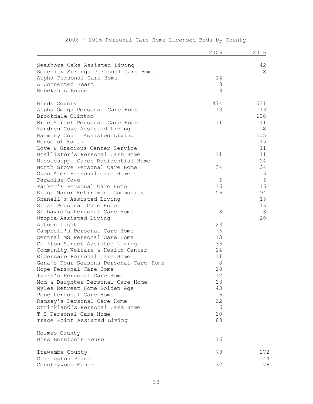|                                                     | 2006      | 2016 |
|-----------------------------------------------------|-----------|------|
| Seashore Oaks Assisted Living                       |           | 42   |
| Serenity Springs Personal Care Home                 |           | 8    |
| Alpha Personal Care Home                            | 14        |      |
| A Connected Heart                                   | $8\,$     |      |
| Rebekah's House                                     | 8         |      |
|                                                     |           | 531  |
| Hinds County                                        | 474<br>13 | 13   |
| Alpha Omega Personal Care Home<br>Brookdale Clinton |           | 108  |
| Erie Street Personal Care Home                      | 11        | 11   |
| Fondren Cove Assisted Living                        |           | 18   |
| Harmony Court Assisted Living                       |           | 105  |
| House of Faith                                      |           | 15   |
| Love & Gracious Center Service                      |           | 11   |
| McAllister's Personal Care Home                     | 11        | 11   |
| Mississippi Cares Residential Home                  |           | 24   |
| North Grove Personal Care Home                      | 34        | 34   |
| Open Arms Personal Care Home                        |           | 6    |
| Paradise Cove                                       | 6         | 6    |
| Parker's Personal Care Home                         | 16        | 16   |
| Riggs Manor Retirement Community                    | 56        | 94   |
| Shanell's Assisted Living                           |           | 15   |
| Silas Personal Care Home                            |           | 16   |
| St David's Personal Care Home                       | 8         | 8    |
| Utopia Assisted Living                              |           | 20   |
| Autumn Light                                        | 23        |      |
| Campbell's Personal Care Home                       | 6         |      |
| Central MS Personal Care Home                       | 13        |      |
| Clifton Street Assisted Living                      | 36        |      |
| Community Welfare & Health Center                   | 14        |      |
| Eldercare Personal Care Home                        | 11        |      |
| Gena's Four Seasons Personal Care Home              | $8\,$     |      |
| Hope Personal Care Home                             | 18        |      |
| Izora's Personal Care Home                          | 12        |      |
| Mom & Daughter Personal Care Home                   | 13        |      |
| Myles Retreat Home Golden Age                       | 43        |      |
| Pope Personal Care Home                             | 6         |      |
| Ramsey's Personal Care Home                         | 12        |      |
| Strickland's Personal Care Home                     | 6         |      |
| T S Personal Care Home                              | 10<br>88  |      |
| Trace Point Assisted Living                         |           |      |
| Holmes County                                       |           |      |
| Miss Bernice's House                                | 16        |      |
| Itawamba County                                     | 78        | 172  |
| Charleston Place                                    |           | 44   |
| Countrywood Manor                                   | 32        | 78   |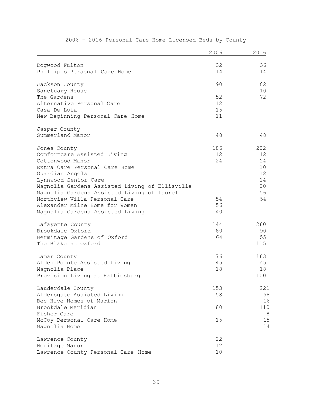|                                                | 2006 | 2016 |
|------------------------------------------------|------|------|
| Dogwood Fulton                                 | 32   | 36   |
| Phillip's Personal Care Home                   | 14   | 14   |
| Jackson County                                 | 90   | 82   |
| Sanctuary House                                |      | 10   |
| The Gardens                                    | 52   | 72   |
| Alternative Personal Care                      | 12   |      |
| Casa De Lola                                   | 15   |      |
| New Beginning Personal Care Home               | 11   |      |
| Jasper County                                  |      |      |
| Summerland Manor                               | 48   | 48   |
| Jones County                                   | 186  | 202  |
| Comfortcare Assisted Living                    | 12   | 12   |
| Cottonwood Manor                               | 24   | 24   |
| Extra Care Personal Care Home                  |      | 10   |
| Guardian Angels                                |      | 12   |
| Lynnwood Senior Care                           |      | 14   |
| Magnolia Gardens Assisted Living of Ellisville |      | 20   |
| Magnolia Gardens Assisted Living of Laurel     |      | 56   |
| Northview Villa Personal Care                  | 54   | 54   |
| Alexander Milne Home for Women                 | 56   |      |
| Magnolia Gardens Assisted Living               | 40   |      |
| Lafayette County                               | 144  | 260  |
| Brookdale Oxford                               | 80   | 90   |
| Hermitage Gardens of Oxford                    | 64   | 55   |
| The Blake at Oxford                            |      | 115  |
| Lamar County                                   | 76   | 163  |
| Alden Pointe Assisted Living                   | 45   | 45   |
| Magnolia Place                                 | 18   | 18   |
| Provision Living at Hattiesburg                |      | 100  |
| Lauderdale County                              | 153  | 221  |
| Aldersgate Assisted Living                     | 58   | 58   |
| Bee Hive Homes of Marion                       |      | 16   |
| Brookdale Meridian                             | 80   | 110  |
| Fisher Care                                    |      | 8    |
| McCoy Personal Care Home                       | 15   | 15   |
| Magnolia Home                                  |      | 14   |
| Lawrence County                                | 22   |      |
| Heritage Manor                                 | 12   |      |
| Lawrence County Personal Care Home             | 10   |      |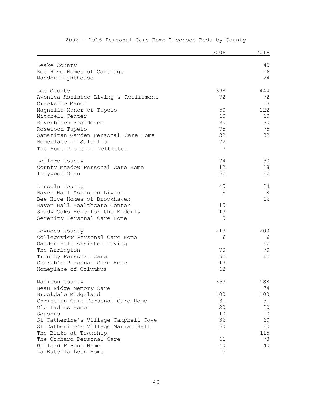|                                      | 2006 | 2016 |
|--------------------------------------|------|------|
| Leake County                         |      | 40   |
| Bee Hive Homes of Carthage           |      | 16   |
| Madden Lighthouse                    |      | 24   |
|                                      |      |      |
| Lee County                           | 398  | 444  |
| Avonlea Assisted Living & Retirement | 72   | 72   |
| Creekside Manor                      |      | 53   |
| Magnolia Manor of Tupelo             | 50   | 122  |
| Mitchell Center                      | 60   | 60   |
| Riverbirch Residence                 | 30   | 30   |
| Rosewood Tupelo                      | 75   | 75   |
| Samaritan Garden Personal Care Home  | 32   | 32   |
| Homeplace of Saltillo                | 72   |      |
| The Home Place of Nettleton          | 7    |      |
| Leflore County                       | 74   | 80   |
| County Meadow Personal Care Home     | 12   | 18   |
| Indywood Glen                        | 62   | 62   |
| Lincoln County                       | 45   | 24   |
| Haven Hall Assisted Living           | 8    | 8    |
| Bee Hive Homes of Brookhaven         |      | 16   |
| Haven Hall Healthcare Center         | 15   |      |
| Shady Oaks Home for the Elderly      | 13   |      |
| Serenity Personal Care Home          | 9    |      |
| Lowndes County                       | 213  | 200  |
| Collegeview Personal Care Home       | 6    | 6    |
| Garden Hill Assisted Living          |      | 62   |
| The Arrington                        | 70   | 70   |
| Trinity Personal Care                | 62   | 62   |
| Cherub's Personal Care Home          | 13   |      |
| Homeplace of Columbus                | 62   |      |
| Madison County                       | 363  | 588  |
| Beau Ridge Memory Care               |      | 74   |
| Brookdale Ridgeland                  | 100  | 100  |
| Christian Care Personal Care Home    | 31   | 31   |
| Old Ladies Home                      | 20   | 20   |
| Seasons                              | 10   | 10   |
| St Catherine's Village Campbell Cove | 36   | 60   |
| St Catherine's Village Marian Hall   | 60   | 60   |
| The Blake at Township                |      | 115  |
| The Orchard Personal Care            | 61   | 78   |
| Willard F Bond Home                  | 40   | 40   |
| La Estella Leon Home                 | 5    |      |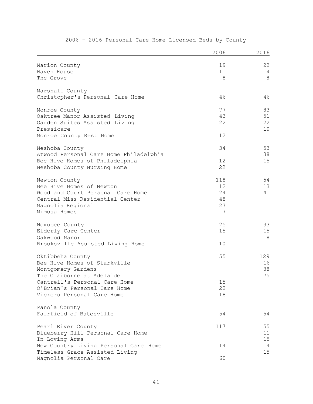|                                                          | 2006     | 2016     |
|----------------------------------------------------------|----------|----------|
| Marion County                                            | 19       | 22       |
| Haven House                                              | 11       | 14       |
| The Grove                                                | 8        | 8        |
| Marshall County                                          |          |          |
| Christopher's Personal Care Home                         | 46       | 46       |
| Monroe County                                            | 77       | 83       |
| Oaktree Manor Assisted Living                            | 43       | 51       |
| Garden Suites Assisted Living                            | 22       | 22       |
| Pressicare                                               |          | 10       |
| Monroe County Rest Home                                  | 12       |          |
| Neshoba County                                           | 34       | 53       |
| Atwood Personal Care Home Philadelphia                   |          | 38       |
| Bee Hive Homes of Philadelphia                           | 12<br>22 | 15       |
| Neshoba County Nursing Home                              |          |          |
| Newton County                                            | 118      | 54       |
| Bee Hive Homes of Newton                                 | 12       | 13       |
| Woodland Court Personal Care Home                        | 24       | 41       |
| Central Miss Residential Center                          | 48       |          |
| Magnolia Regional                                        | 27       |          |
| Mimosa Homes                                             | 7        |          |
| Noxubee County                                           | 25       | 33       |
| Elderly Care Center                                      | 15       | 15       |
| Oakwood Manor                                            |          | 18       |
| Brooksville Assisted Living Home                         | 10       |          |
| Oktibbeha County                                         | 55       | 129      |
| Bee Hive Homes of Starkville                             |          | 16       |
| Montgomery Gardens                                       |          | 38       |
| The Claiborne at Adelaide                                |          | 75       |
| Cantrell's Personal Care Home                            | 15       |          |
| O'Brian's Personal Care Home                             | 22       |          |
| Vickers Personal Care Home                               | 18       |          |
| Panola County                                            |          |          |
| Fairfield of Batesville                                  | 54       | 54       |
| Pearl River County                                       | 117      | 55       |
| Blueberry Hill Personal Care Home                        |          | 11       |
| In Loving Arms                                           |          | 15       |
| New Country Living Personal Care Home                    | 14       | 14<br>15 |
| Timeless Grace Assisted Living<br>Magnolia Personal Care | 60       |          |
|                                                          |          |          |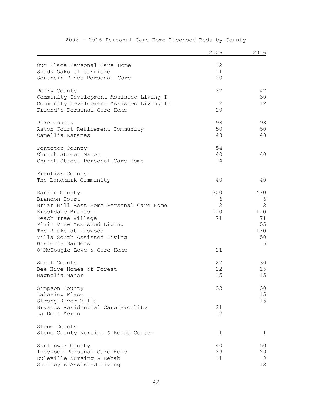|                                          | 2006           | 2016         |
|------------------------------------------|----------------|--------------|
| Our Place Personal Care Home             | 12             |              |
| Shady Oaks of Carriere                   | 11             |              |
| Southern Pines Personal Care             | 20             |              |
| Perry County                             | 22             | 42           |
| Community Development Assisted Living I  |                | 30           |
| Community Development Assisted Living II | 12             | 12           |
| Friend's Personal Care Home              | 10             |              |
| Pike County                              | 98             | 98           |
| Aston Court Retirement Community         | 50             | 50           |
| Camellia Estates                         | 48             | 48           |
| Pontotoc County                          | 54             |              |
| Church Street Manor                      | 40             | 40           |
| Church Street Personal Care Home         | 14             |              |
| Prentiss County                          |                |              |
| The Landmark Community                   | 40             | 40           |
| Rankin County                            | 200            | 430          |
| Brandon Court                            | 6              | 6            |
| Briar Hill Rest Home Personal Care Home  | $\overline{2}$ | $\mathbf{2}$ |
| Brookdale Brandon                        | 110            | 110          |
| Peach Tree Village                       | 71             | 71           |
| Plain View Assisted Living               |                | 55           |
| The Blake at Flowood                     |                | 130          |
| Villa South Assisted Living              |                | 50           |
| Wisteria Gardens                         |                | 6            |
| O'McDougle Love & Care Home              | 11             |              |
| Scott County                             | 27             | 30           |
| Bee Hive Homes of Forest                 | 12             | 15           |
| Magnolia Manor                           | 15             | 15           |
| Simpson County                           | 33             | 30           |
| Lakeview Place                           |                | 15           |
| Strong River Villa                       |                | 15           |
| Bryants Residential Care Facility        | 21             |              |
| La Dora Acres                            | 12             |              |
| Stone County                             |                |              |
| Stone County Nursing & Rehab Center      | 1              | 1            |
| Sunflower County                         | 40             | 50           |
| Indywood Personal Care Home              | 29             | 29           |
| Ruleville Nursing & Rehab                | 11             | 9            |
| Shirley's Assisted Living                |                | 12           |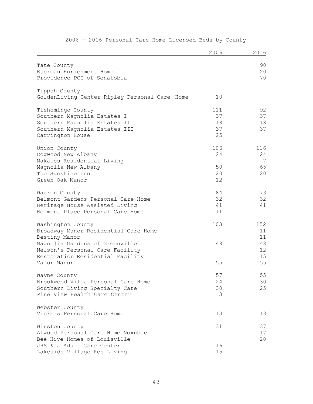|                                               | 2006 | 2016 |
|-----------------------------------------------|------|------|
| Tate County                                   |      | 90   |
| Buckman Enrichment Home                       |      | 20   |
| Providence PCC of Senatobia                   |      | 70   |
|                                               |      |      |
| Tippah County                                 |      |      |
| GoldenLiving Center Ripley Personal Care Home | 10   |      |
| Tishomingo County                             | 111  | 92   |
| Southern Magnolia Estates I                   | 37   | 37   |
| Southern Magnolia Estates II                  | 18   | 18   |
| Southern Magnolia Estates III                 | 37   | 37   |
| Carrington House                              | 25   |      |
| Union County                                  | 106  | 116  |
| Dogwood New Albany                            | 24   | 24   |
| Makales Residential Living                    |      | 7    |
| Magnolia New Albany                           | 50   | 65   |
| The Sunshine Inn                              | 20   | 20   |
| Green Oak Manor                               | 12   |      |
| Warren County                                 | 84   | 73   |
| Belmont Gardens Personal Care Home            | 32   | 32   |
| Heritage House Assisted Living                | 41   | 41   |
| Belmont Place Personal Care Home              | 11   |      |
| Washington County                             | 103  | 152  |
| Broadway Manor Residential Care Home          |      | 11   |
| Destiny Manor                                 |      | 11   |
| Magnolia Gardens of Greenville                | 48   | 48   |
| Nelson's Personal Care Facility               |      | 12   |
| Restoration Residential Facility              |      | 15   |
| Valor Manor                                   | 55   | 55   |
| Wayne County                                  | 57   | 55   |
| Brookwood Villa Personal Care Home            | 24   | 30   |
| Southern Living Specialty Care                | 30   | 25   |
| Pine View Health Care Center                  | 3    |      |
| Webster County                                |      |      |
| Vickers Personal Care Home                    | 13   | 13   |
| Winston County                                | 31   | 37   |
| Atwood Personal Care Home Noxubee             |      | 17   |
| Bee Hive Homes of Louisville                  |      | 20   |
| JRS & J Adult Care Center                     | 16   |      |
| Lakeside Village Res Living                   | 15   |      |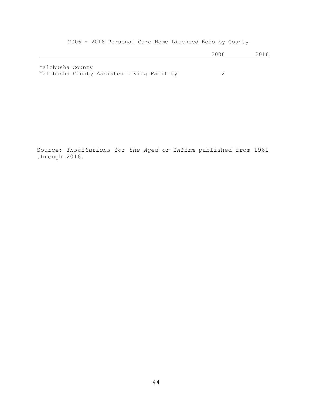|                                                               |  | 2006 | 2016 |
|---------------------------------------------------------------|--|------|------|
| Yalobusha County<br>Yalobusha County Assisted Living Facility |  |      |      |

Source: *Institutions for the Aged or Infirm* published from 1961 through 2016.